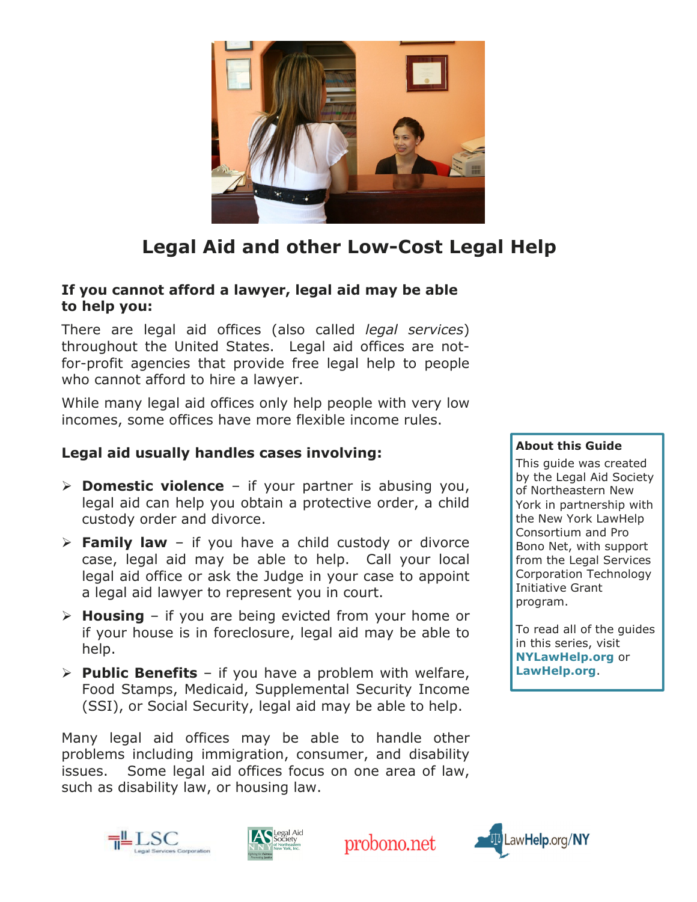

# Legal Aid and other Low-Cost Legal Help

#### If you cannot afford a lawyer, legal aid may be able to help you:

There are legal aid offices (also called *legal services*) throughout the United States. Legal aid offices are notfor-profit agencies that provide free legal help to people who cannot afford to hire a lawyer.

While many legal aid offices only help people with very low incomes, some offices have more flexible income rules.

#### Legal aid usually handles cases involving:

- $\triangleright$  **Domestic violence** if your partner is abusing you, legal aid can help you obtain a protective order, a child custody order and divorce.
- $\triangleright$  Family law if you have a child custody or divorce case, legal aid may be able to help. Call your local legal aid office or ask the Judge in your case to appoint a legal aid lawyer to represent you in court.
- $\triangleright$  **Housing** if you are being evicted from your home or if your house is in foreclosure, legal aid may be able to help.
- $\triangleright$  **Public Benefits** if you have a problem with welfare, Food Stamps, Medicaid, Supplemental Security Income (SSI), or Social Security, legal aid may be able to help.

Many legal aid offices may be able to handle other problems including immigration, consumer, and disability issues. Some legal aid offices focus on one area of law, such as disability law, or housing law.









#### About this Guide

This guide was created by the Legal Aid Society of Northeastern New York in partnership with the New York LawHelp Consortium and Pro Bono Net, with support from the Legal Services Corporation Technology Initiative Grant program.

To read all of the guides in this series, visit NYLawHelp.org or LawHelp.org.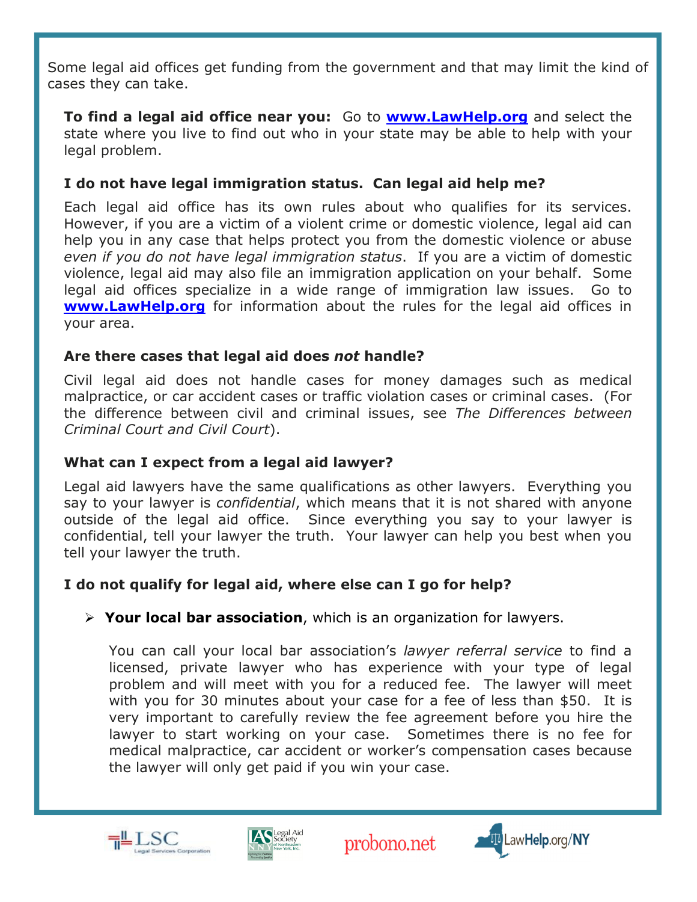Some legal aid offices get funding from the government and that may limit the kind of cases they can take.

**To find a legal aid office near you:** Go to **www.LawHelp.org** and select the state where you live to find out who in your state may be able to help with your legal problem.

#### I do not have legal immigration status. Can legal aid help me?

Each legal aid office has its own rules about who qualifies for its services. However, if you are a victim of a violent crime or domestic violence, legal aid can help you in any case that helps protect you from the domestic violence or abuse even if you do not have legal immigration status. If you are a victim of domestic violence, legal aid may also file an immigration application on your behalf. Some legal aid offices specialize in a wide range of immigration law issues. Go to **www.LawHelp.org** for information about the rules for the legal aid offices in your area.

#### Are there cases that legal aid does not handle?

Civil legal aid does not handle cases for money damages such as medical malpractice, or car accident cases or traffic violation cases or criminal cases. (For the difference between civil and criminal issues, see The Differences between Criminal Court and Civil Court).

# What can I expect from a legal aid lawyer?

Legal aid lawyers have the same qualifications as other lawyers. Everything you say to your lawyer is *confidential*, which means that it is not shared with anyone outside of the legal aid office. Since everything you say to your lawyer is confidential, tell your lawyer the truth. Your lawyer can help you best when you tell your lawyer the truth.

# I do not qualify for legal aid, where else can I go for help?

# $\triangleright$  Your local bar association, which is an organization for lawyers.

You can call your local bar association's lawyer referral service to find a licensed, private lawyer who has experience with your type of legal problem and will meet with you for a reduced fee. The lawyer will meet with you for 30 minutes about your case for a fee of less than \$50. It is very important to carefully review the fee agreement before you hire the lawyer to start working on your case. Sometimes there is no fee for medical malpractice, car accident or worker's compensation cases because the lawyer will only get paid if you win your case.